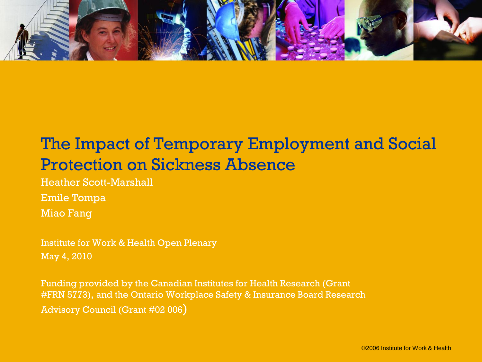

# The Impact of Temporary Employment and Social Protection on Sickness Absence

Heather Scott-Marshall Emile Tompa Miao Fang

Institute for Work & Health Open Plenary May 4, 2010

Funding provided by the Canadian Institutes for Health Research (Grant #FRN 5773), and the Ontario Workplace Safety & Insurance Board Research Advisory Council (Grant #02 006)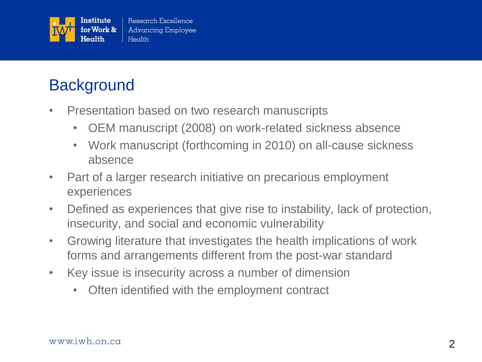

## **Background**

- Presentation based on two research manuscripts
	- OEM manuscript (2008) on work-related sickness absence
	- Work manuscript (forthcoming in 2010) on all-cause sickness absence
- Part of a larger research initiative on precarious employment experiences
- Defined as experiences that give rise to instability, lack of protection, insecurity, and social and economic vulnerability
- Growing literature that investigates the health implications of work forms and arrangements different from the post-war standard
- Key issue is insecurity across a number of dimension
	- Often identified with the employment contract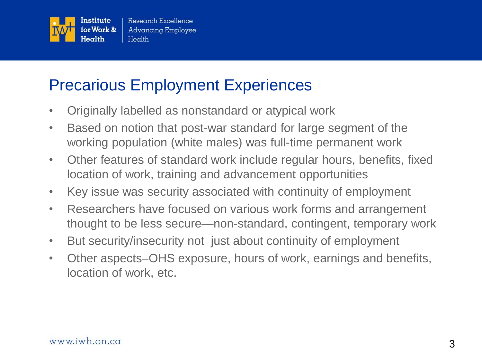

### Precarious Employment Experiences

- Originally labelled as nonstandard or atypical work
- Based on notion that post-war standard for large segment of the working population (white males) was full-time permanent work
- Other features of standard work include regular hours, benefits, fixed location of work, training and advancement opportunities
- Key issue was security associated with continuity of employment
- Researchers have focused on various work forms and arrangement thought to be less secure—non-standard, contingent, temporary work
- But security/insecurity not just about continuity of employment
- Other aspects–OHS exposure, hours of work, earnings and benefits, location of work, etc.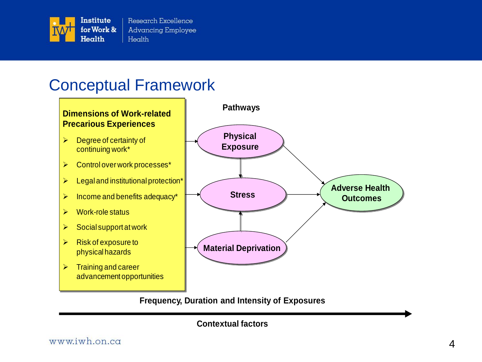

Research Excellence **Advancing Employee** Health

### Conceptual Framework



**Contextual factors**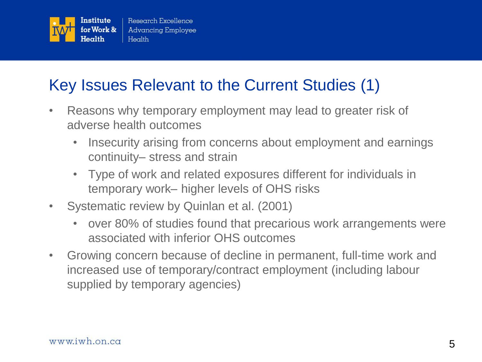

# Key Issues Relevant to the Current Studies (1)

- Reasons why temporary employment may lead to greater risk of adverse health outcomes
	- Insecurity arising from concerns about employment and earnings continuity– stress and strain
	- Type of work and related exposures different for individuals in temporary work– higher levels of OHS risks
- Systematic review by Quinlan et al. (2001)
	- over 80% of studies found that precarious work arrangements were associated with inferior OHS outcomes
- Growing concern because of decline in permanent, full-time work and increased use of temporary/contract employment (including labour supplied by temporary agencies)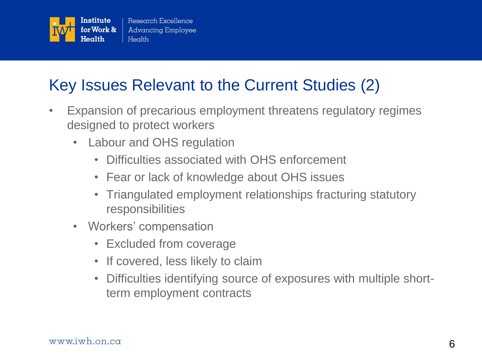

# Key Issues Relevant to the Current Studies (2)

- Expansion of precarious employment threatens regulatory regimes designed to protect workers
	- Labour and OHS regulation
		- Difficulties associated with OHS enforcement
		- Fear or lack of knowledge about OHS issues
		- Triangulated employment relationships fracturing statutory responsibilities
	- Workers' compensation
		- Excluded from coverage
		- If covered, less likely to claim
		- Difficulties identifying source of exposures with multiple shortterm employment contracts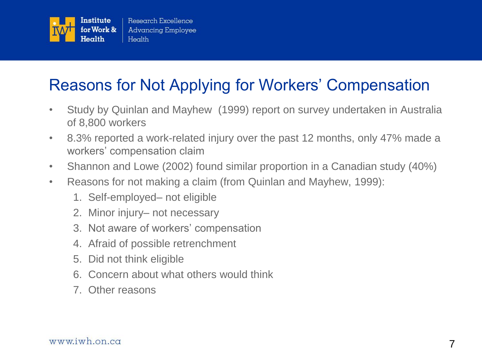

# Reasons for Not Applying for Workers' Compensation

- Study by Quinlan and Mayhew (1999) report on survey undertaken in Australia of 8,800 workers
- 8.3% reported a work-related injury over the past 12 months, only 47% made a workers' compensation claim
- Shannon and Lowe (2002) found similar proportion in a Canadian study (40%)
- Reasons for not making a claim (from Quinlan and Mayhew, 1999):
	- 1. Self-employed– not eligible
	- 2. Minor injury– not necessary
	- 3. Not aware of workers' compensation
	- 4. Afraid of possible retrenchment
	- 5. Did not think eligible
	- 6. Concern about what others would think
	- 7. Other reasons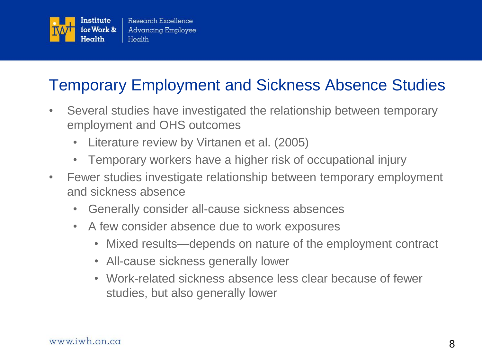

# Temporary Employment and Sickness Absence Studies

- Several studies have investigated the relationship between temporary employment and OHS outcomes
	- Literature review by Virtanen et al. (2005)
	- Temporary workers have a higher risk of occupational injury
- Fewer studies investigate relationship between temporary employment and sickness absence
	- Generally consider all-cause sickness absences
	- A few consider absence due to work exposures
		- Mixed results—depends on nature of the employment contract
		- All-cause sickness generally lower
		- Work-related sickness absence less clear because of fewer studies, but also generally lower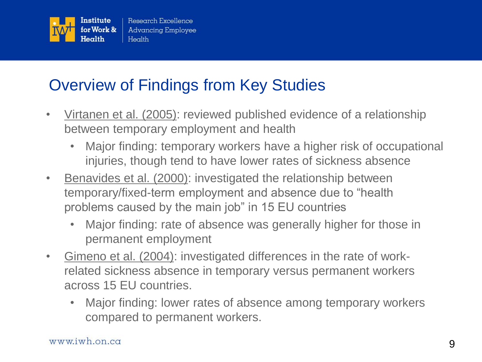

# Overview of Findings from Key Studies

- Virtanen et al. (2005): reviewed published evidence of a relationship between temporary employment and health
	- Major finding: temporary workers have a higher risk of occupational injuries, though tend to have lower rates of sickness absence
- Benavides et al. (2000): investigated the relationship between temporary/fixed-term employment and absence due to "health" problems caused by the main job" in 15 EU countries
	- Major finding: rate of absence was generally higher for those in permanent employment
- Gimeno et al. (2004): investigated differences in the rate of workrelated sickness absence in temporary versus permanent workers across 15 EU countries.
	- Major finding: lower rates of absence among temporary workers compared to permanent workers.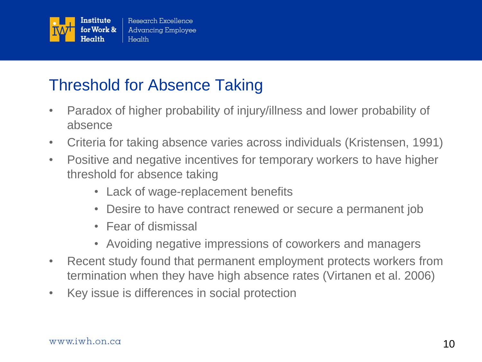

### Threshold for Absence Taking

- Paradox of higher probability of injury/illness and lower probability of absence
- Criteria for taking absence varies across individuals (Kristensen, 1991)
- Positive and negative incentives for temporary workers to have higher threshold for absence taking
	- Lack of wage-replacement benefits
	- Desire to have contract renewed or secure a permanent job
	- Fear of dismissal
	- Avoiding negative impressions of coworkers and managers
- Recent study found that permanent employment protects workers from termination when they have high absence rates (Virtanen et al. 2006)
- Key issue is differences in social protection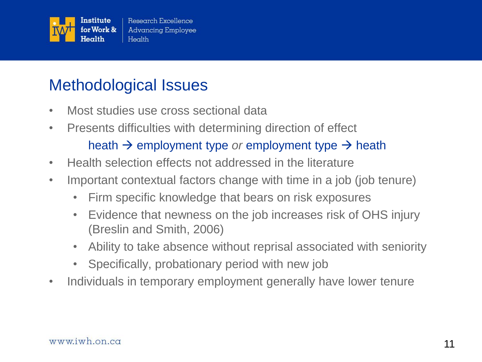

### Methodological Issues

- Most studies use cross sectional data
- Presents difficulties with determining direction of effect heath  $\rightarrow$  employment type *or* employment type  $\rightarrow$  heath
- Health selection effects not addressed in the literature
- Important contextual factors change with time in a job (job tenure)
	- Firm specific knowledge that bears on risk exposures
	- Evidence that newness on the job increases risk of OHS injury (Breslin and Smith, 2006)
	- Ability to take absence without reprisal associated with seniority
	- Specifically, probationary period with new job
- Individuals in temporary employment generally have lower tenure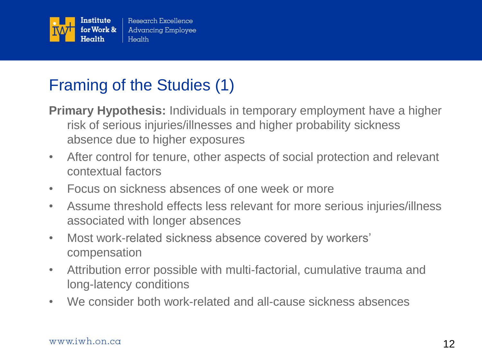

# Framing of the Studies (1)

**Primary Hypothesis:** Individuals in temporary employment have a higher risk of serious injuries/illnesses and higher probability sickness absence due to higher exposures

- After control for tenure, other aspects of social protection and relevant contextual factors
- Focus on sickness absences of one week or more
- Assume threshold effects less relevant for more serious injuries/illness associated with longer absences
- Most work-related sickness absence covered by workers' compensation
- Attribution error possible with multi-factorial, cumulative trauma and long-latency conditions
- We consider both work-related and all-cause sickness absences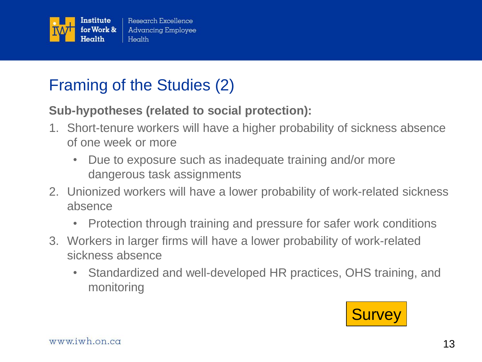

## Framing of the Studies (2)

#### **Sub-hypotheses (related to social protection):**

- 1. Short-tenure workers will have a higher probability of sickness absence of one week or more
	- Due to exposure such as inadequate training and/or more dangerous task assignments
- 2. Unionized workers will have a lower probability of work-related sickness absence
	- Protection through training and pressure for safer work conditions
- 3. Workers in larger firms will have a lower probability of work-related sickness absence
	- Standardized and well-developed HR practices, OHS training, and monitoring

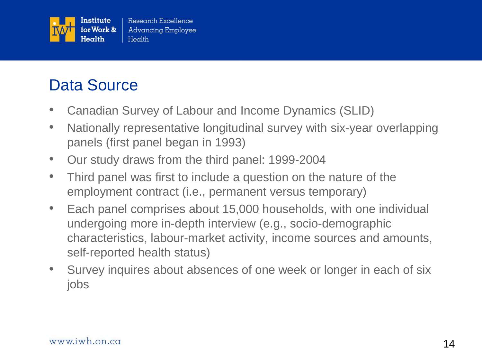

## Data Source

- Canadian Survey of Labour and Income Dynamics (SLID)
- Nationally representative longitudinal survey with six-year overlapping panels (first panel began in 1993)
- Our study draws from the third panel: 1999-2004
- Third panel was first to include a question on the nature of the employment contract (i.e., permanent versus temporary)
- Each panel comprises about 15,000 households, with one individual undergoing more in-depth interview (e.g., socio-demographic characteristics, labour-market activity, income sources and amounts, self-reported health status)
- Survey inquires about absences of one week or longer in each of six jobs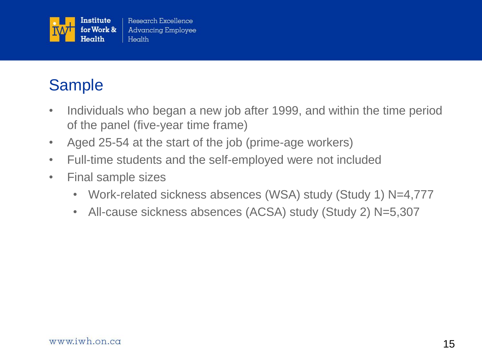

# Sample

- Individuals who began a new job after 1999, and within the time period of the panel (five-year time frame)
- Aged 25-54 at the start of the job (prime-age workers)
- Full-time students and the self-employed were not included
- Final sample sizes
	- Work-related sickness absences (WSA) study (Study 1) N=4,777
	- All-cause sickness absences (ACSA) study (Study 2) N=5,307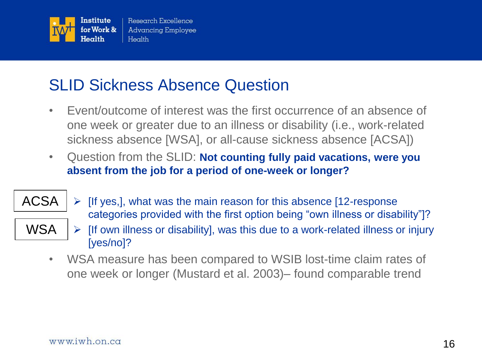

### SLID Sickness Absence Question

- Event/outcome of interest was the first occurrence of an absence of one week or greater due to an illness or disability (i.e., work-related sickness absence [WSA], or all-cause sickness absence [ACSA])
- Question from the SLID: **Not counting fully paid vacations, were you absent from the job for a period of one-week or longer?**
- ACSA
- WSA
- $\triangleright$  [If yes,], what was the main reason for this absence [12-response] categories provided with the first option being "own illness or disability"]?  $\triangleright$  [If own illness or disability], was this due to a work-related illness or injury [yes/no]?
- WSA measure has been compared to WSIB lost-time claim rates of one week or longer (Mustard et al. 2003)– found comparable trend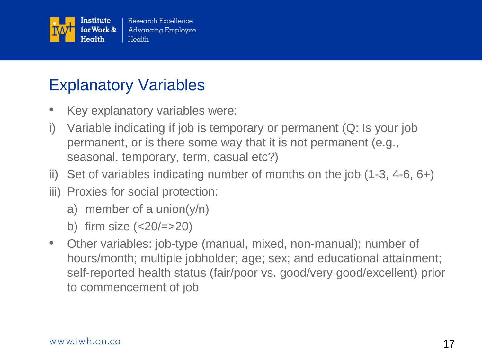

### Explanatory Variables

- Key explanatory variables were:
- i) Variable indicating if job is temporary or permanent (Q: Is your job permanent, or is there some way that it is not permanent (e.g., seasonal, temporary, term, casual etc?)
- ii) Set of variables indicating number of months on the job (1-3, 4-6, 6+)
- iii) Proxies for social protection:
	- a) member of a union(y/n)
	- b) firm size  $(<20/=>20)$
- Other variables: job-type (manual, mixed, non-manual); number of hours/month; multiple jobholder; age; sex; and educational attainment; self-reported health status (fair/poor vs. good/very good/excellent) prior to commencement of job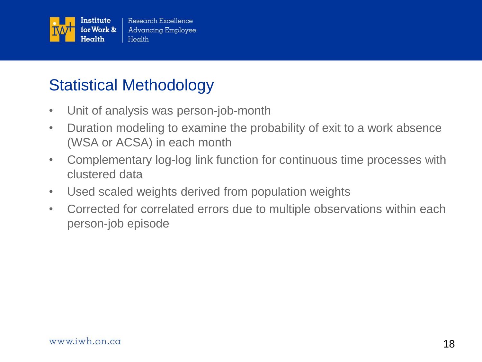

### Statistical Methodology

- Unit of analysis was person-job-month
- Duration modeling to examine the probability of exit to a work absence (WSA or ACSA) in each month
- Complementary log-log link function for continuous time processes with clustered data
- Used scaled weights derived from population weights
- Corrected for correlated errors due to multiple observations within each person-job episode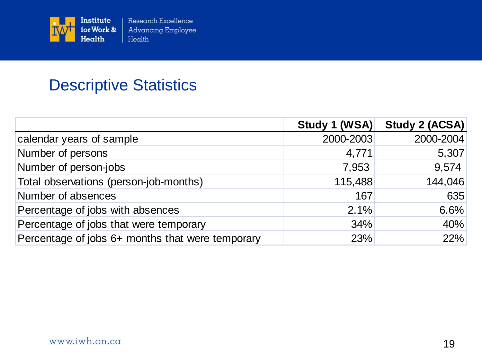

### Descriptive Statistics

|                                                  | Study 1 (WSA) | Study 2 (ACSA) |
|--------------------------------------------------|---------------|----------------|
| calendar years of sample                         | 2000-2003     | 2000-2004      |
| Number of persons                                | 4,771         | 5,307          |
| Number of person-jobs                            | 7,953         | 9,574          |
| Total observations (person-job-months)           | 115,488       | 144,046        |
| Number of absences                               | 167           | 635            |
| Percentage of jobs with absences                 | 2.1%          | 6.6%           |
| Percentage of jobs that were temporary           | 34%           | 40%            |
| Percentage of jobs 6+ months that were temporary | 23%           | 22%            |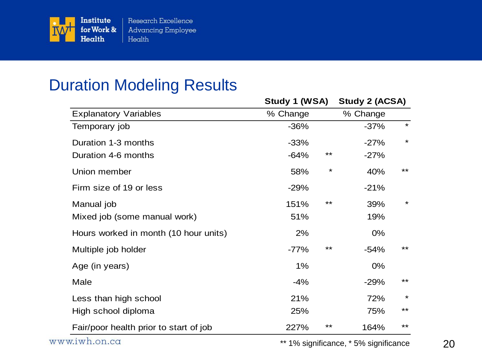

### Duration Modeling Results

|                                        |          | Study 1 (WSA) |          | <b>Study 2 (ACSA)</b> |  |
|----------------------------------------|----------|---------------|----------|-----------------------|--|
| <b>Explanatory Variables</b>           | % Change |               | % Change |                       |  |
| Temporary job                          | $-36%$   |               | $-37%$   | $\star$               |  |
| Duration 1-3 months                    | $-33%$   |               | $-27%$   | $\star$               |  |
| Duration 4-6 months                    | $-64%$   | **            | $-27%$   |                       |  |
| Union member                           | 58%      | $\star$       | 40%      | $***$                 |  |
| Firm size of 19 or less                | $-29%$   |               | $-21%$   |                       |  |
| Manual job                             | 151%     | $***$         | 39%      | $\star$               |  |
| Mixed job (some manual work)           | 51%      |               | 19%      |                       |  |
| Hours worked in month (10 hour units)  | 2%       |               | 0%       |                       |  |
| Multiple job holder                    | $-77%$   | **            | $-54%$   | $***$                 |  |
| Age (in years)                         | $1\%$    |               | 0%       |                       |  |
| Male                                   | $-4%$    |               | $-29%$   | $***$                 |  |
| Less than high school                  | 21%      |               | 72%      | $\star$               |  |
| High school diploma                    | 25%      |               | 75%      | $***$                 |  |
| Fair/poor health prior to start of job | 227%     | **            | 164%     | $***$                 |  |

\*\* 1% significance, \* 5% significance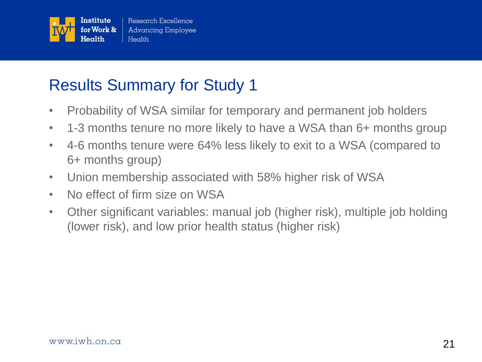

## Results Summary for Study 1

- Probability of WSA similar for temporary and permanent job holders
- 1-3 months tenure no more likely to have a WSA than 6+ months group
- 4-6 months tenure were 64% less likely to exit to a WSA (compared to 6+ months group)
- Union membership associated with 58% higher risk of WSA
- No effect of firm size on WSA
- Other significant variables: manual job (higher risk), multiple job holding (lower risk), and low prior health status (higher risk)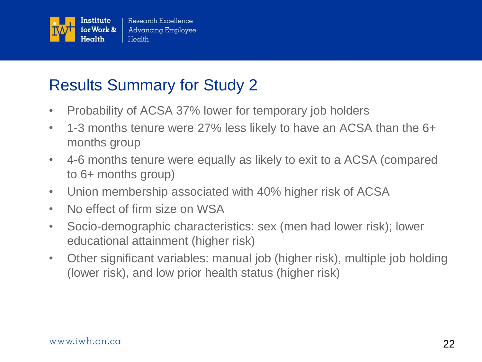

### Results Summary for Study 2

- Probability of ACSA 37% lower for temporary job holders
- 1-3 months tenure were 27% less likely to have an ACSA than the 6+ months group
- 4-6 months tenure were equally as likely to exit to a ACSA (compared to 6+ months group)
- Union membership associated with 40% higher risk of ACSA
- No effect of firm size on WSA
- Socio-demographic characteristics: sex (men had lower risk); lower educational attainment (higher risk)
- Other significant variables: manual job (higher risk), multiple job holding (lower risk), and low prior health status (higher risk)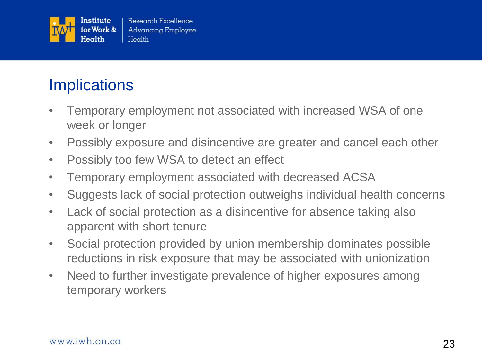

# **Implications**

- Temporary employment not associated with increased WSA of one week or longer
- Possibly exposure and disincentive are greater and cancel each other
- Possibly too few WSA to detect an effect
- Temporary employment associated with decreased ACSA
- Suggests lack of social protection outweighs individual health concerns
- Lack of social protection as a disincentive for absence taking also apparent with short tenure
- Social protection provided by union membership dominates possible reductions in risk exposure that may be associated with unionization
- Need to further investigate prevalence of higher exposures among temporary workers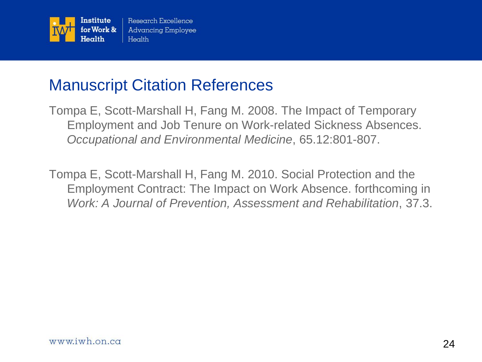

### Manuscript Citation References

Tompa E, Scott-Marshall H, Fang M. 2008. The Impact of Temporary Employment and Job Tenure on Work-related Sickness Absences. *Occupational and Environmental Medicine*, 65.12:801-807.

Tompa E, Scott-Marshall H, Fang M. 2010. Social Protection and the Employment Contract: The Impact on Work Absence. forthcoming in *Work: A Journal of Prevention, Assessment and Rehabilitation*, 37.3.